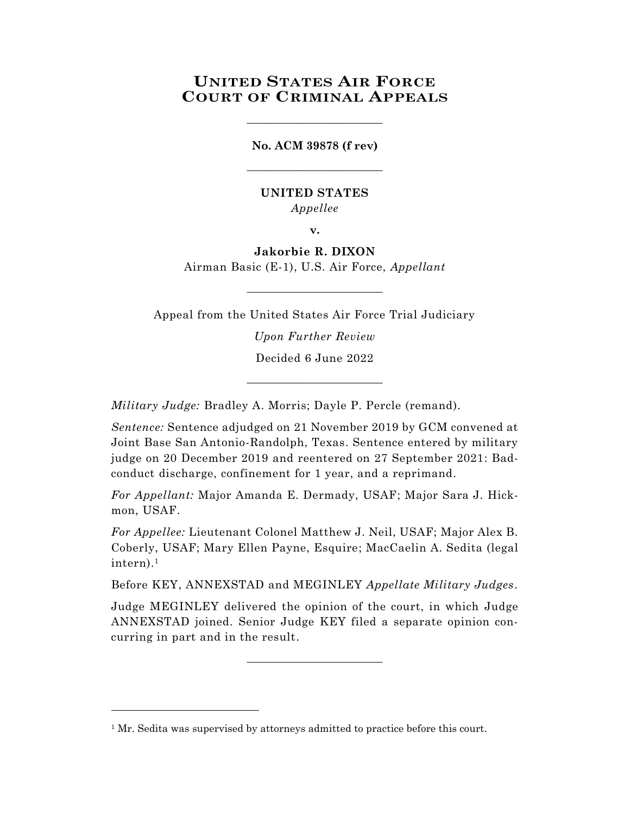# **UNITED STATES AIR FORCE COURT OF CRIMINAL APPEALS**

**No. ACM 39878 (f rev)** \_\_\_\_\_\_\_\_\_\_\_\_\_\_\_\_\_\_\_\_\_\_\_\_

\_\_\_\_\_\_\_\_\_\_\_\_\_\_\_\_\_\_\_\_\_\_\_\_

# **UNITED STATES** *Appellee*

**v.**

**Jakorbie R. DIXON** Airman Basic (E-1), U.S. Air Force, *Appellant*

 $\_$ 

Appeal from the United States Air Force Trial Judiciary

*Upon Further Review* Decided 6 June 2022

\_\_\_\_\_\_\_\_\_\_\_\_\_\_\_\_\_\_\_\_\_\_\_\_

*Military Judge:* Bradley A. Morris; Dayle P. Percle (remand).

*Sentence:* Sentence adjudged on 21 November 2019 by GCM convened at Joint Base San Antonio-Randolph, Texas. Sentence entered by military judge on 20 December 2019 and reentered on 27 September 2021: Badconduct discharge, confinement for 1 year, and a reprimand.

*For Appellant:* Major Amanda E. Dermady, USAF; Major Sara J. Hickmon, USAF.

*For Appellee:* Lieutenant Colonel Matthew J. Neil, USAF; Major Alex B. Coberly, USAF; Mary Ellen Payne, Esquire; MacCaelin A. Sedita (legal intern). 1

Before KEY, ANNEXSTAD and MEGINLEY *Appellate Military Judges*.

Judge MEGINLEY delivered the opinion of the court, in which Judge ANNEXSTAD joined. Senior Judge KEY filed a separate opinion concurring in part and in the result.

 $\_$ 

<sup>&</sup>lt;sup>1</sup> Mr. Sedita was supervised by attorneys admitted to practice before this court.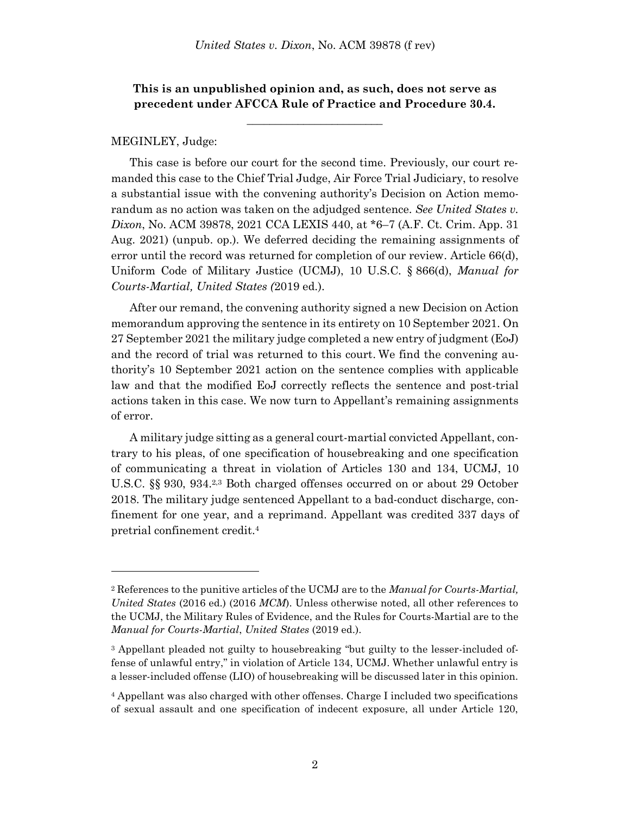# **This is an unpublished opinion and, as such, does not serve as precedent under AFCCA Rule of Practice and Procedure 30.4.**

**\_\_\_\_\_\_\_\_\_\_\_\_\_\_\_\_\_\_\_\_\_\_\_\_**

## MEGINLEY, Judge:

This case is before our court for the second time. Previously, our court remanded this case to the Chief Trial Judge, Air Force Trial Judiciary, to resolve a substantial issue with the convening authority's Decision on Action memorandum as no action was taken on the adjudged sentence. *See United States v. Dixon*, No. ACM 39878, 2021 CCA LEXIS 440, at \*6–7 (A.F. Ct. Crim. App. 31 Aug. 2021) (unpub. op.). We deferred deciding the remaining assignments of error until the record was returned for completion of our review. Article 66(d), Uniform Code of Military Justice (UCMJ), 10 U.S.C. § 866(d), *Manual for Courts-Martial, United States (*2019 ed.).

After our remand, the convening authority signed a new Decision on Action memorandum approving the sentence in its entirety on 10 September 2021. On 27 September 2021 the military judge completed a new entry of judgment (EoJ) and the record of trial was returned to this court. We find the convening authority's 10 September 2021 action on the sentence complies with applicable law and that the modified EoJ correctly reflects the sentence and post-trial actions taken in this case. We now turn to Appellant's remaining assignments of error.

A military judge sitting as a general court-martial convicted Appellant, contrary to his pleas, of one specification of housebreaking and one specification of communicating a threat in violation of Articles 130 and 134, UCMJ, 10 U.S.C. §§ 930, 934.<sup>2,3</sup> Both charged offenses occurred on or about 29 October 2018. The military judge sentenced Appellant to a bad-conduct discharge, confinement for one year, and a reprimand. Appellant was credited 337 days of pretrial confinement credit.<sup>4</sup>

<sup>2</sup> References to the punitive articles of the UCMJ are to the *Manual for Courts-Martial, United States* (2016 ed.) (2016 *MCM*). Unless otherwise noted, all other references to the UCMJ, the Military Rules of Evidence, and the Rules for Courts-Martial are to the *Manual for Courts-Martial*, *United States* (2019 ed.).

<sup>&</sup>lt;sup>3</sup> Appellant pleaded not guilty to housebreaking "but guilty to the lesser-included offense of unlawful entry," in violation of Article 134, UCMJ. Whether unlawful entry is a lesser-included offense (LIO) of housebreaking will be discussed later in this opinion.

<sup>4</sup> Appellant was also charged with other offenses. Charge I included two specifications of sexual assault and one specification of indecent exposure, all under Article 120,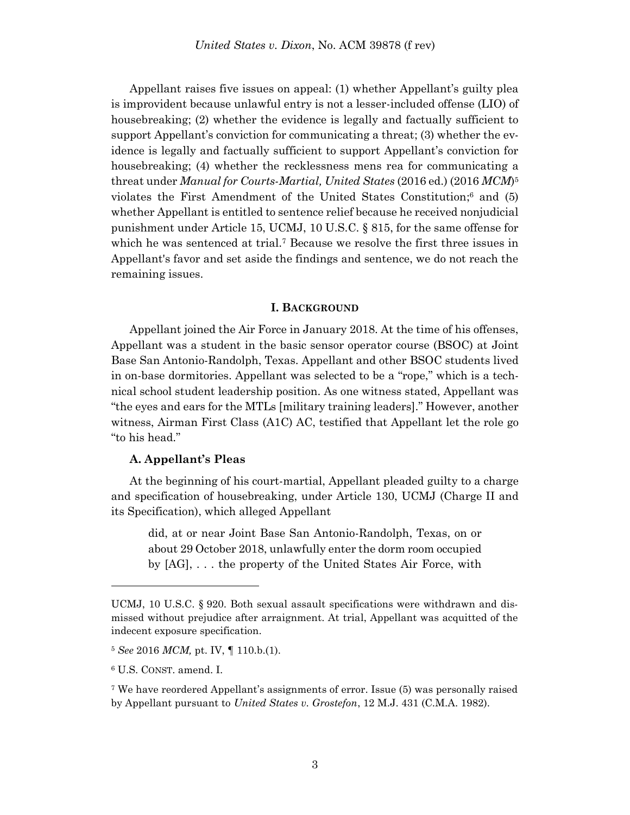Appellant raises five issues on appeal: (1) whether Appellant's guilty plea is improvident because unlawful entry is not a lesser-included offense (LIO) of housebreaking; (2) whether the evidence is legally and factually sufficient to support Appellant's conviction for communicating a threat; (3) whether the evidence is legally and factually sufficient to support Appellant's conviction for housebreaking; (4) whether the recklessness mens rea for communicating a threat under *Manual for Courts-Martial, United States* (2016 ed.) (2016 *MCM*) 5 violates the First Amendment of the United States Constitution; <sup>6</sup> and (5) whether Appellant is entitled to sentence relief because he received nonjudicial punishment under Article 15, UCMJ, 10 U.S.C. § 815, for the same offense for which he was sentenced at trial.<sup>7</sup> Because we resolve the first three issues in Appellant's favor and set aside the findings and sentence, we do not reach the remaining issues.

### **I. BACKGROUND**

Appellant joined the Air Force in January 2018. At the time of his offenses, Appellant was a student in the basic sensor operator course (BSOC) at Joint Base San Antonio-Randolph, Texas. Appellant and other BSOC students lived in on-base dormitories. Appellant was selected to be a "rope," which is a technical school student leadership position. As one witness stated, Appellant was "the eyes and ears for the MTLs [military training leaders]." However, another witness, Airman First Class (A1C) AC, testified that Appellant let the role go "to his head."

#### **A. Appellant's Pleas**

At the beginning of his court-martial, Appellant pleaded guilty to a charge and specification of housebreaking, under Article 130, UCMJ (Charge II and its Specification), which alleged Appellant

did, at or near Joint Base San Antonio-Randolph, Texas, on or about 29 October 2018, unlawfully enter the dorm room occupied by [AG], . . . the property of the United States Air Force, with

UCMJ, 10 U.S.C. § 920. Both sexual assault specifications were withdrawn and dismissed without prejudice after arraignment. At trial, Appellant was acquitted of the indecent exposure specification.

<sup>5</sup> *See* 2016 *MCM,* pt. IV, ¶ 110.b.(1).

<sup>6</sup> U.S. CONST. amend. I.

<sup>7</sup> We have reordered Appellant's assignments of error. Issue (5) was personally raised by Appellant pursuant to *United States v. Grostefon*, 12 M.J. 431 (C.M.A. 1982).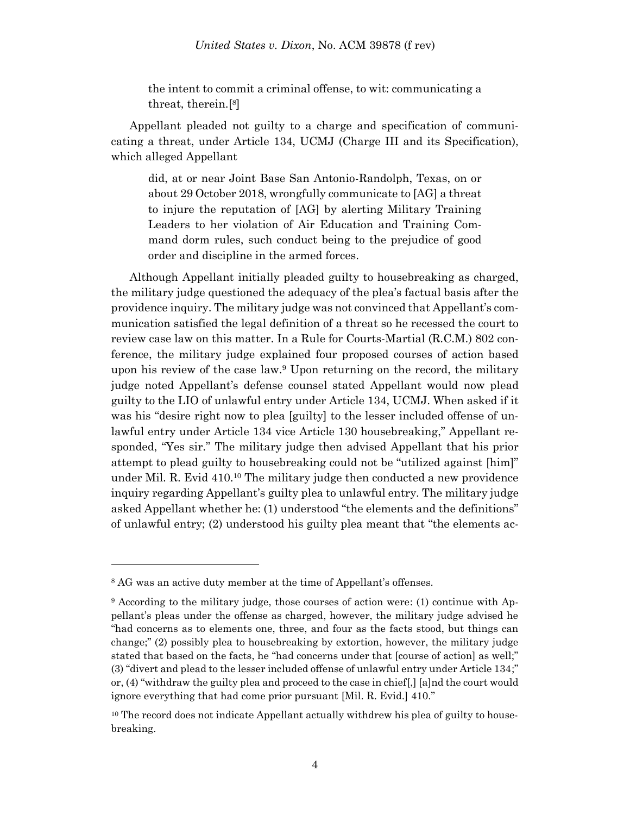the intent to commit a criminal offense, to wit: communicating a threat, therein.[ 8 ]

Appellant pleaded not guilty to a charge and specification of communicating a threat, under Article 134, UCMJ (Charge III and its Specification), which alleged Appellant

did, at or near Joint Base San Antonio-Randolph, Texas, on or about 29 October 2018, wrongfully communicate to [AG] a threat to injure the reputation of [AG] by alerting Military Training Leaders to her violation of Air Education and Training Command dorm rules, such conduct being to the prejudice of good order and discipline in the armed forces.

Although Appellant initially pleaded guilty to housebreaking as charged, the military judge questioned the adequacy of the plea's factual basis after the providence inquiry. The military judge was not convinced that Appellant's communication satisfied the legal definition of a threat so he recessed the court to review case law on this matter. In a Rule for Courts-Martial (R.C.M.) 802 conference, the military judge explained four proposed courses of action based upon his review of the case law.<sup>9</sup> Upon returning on the record, the military judge noted Appellant's defense counsel stated Appellant would now plead guilty to the LIO of unlawful entry under Article 134, UCMJ. When asked if it was his "desire right now to plea [guilty] to the lesser included offense of unlawful entry under Article 134 vice Article 130 housebreaking," Appellant responded, "Yes sir." The military judge then advised Appellant that his prior attempt to plead guilty to housebreaking could not be "utilized against [him]" under Mil. R. Evid 410.<sup>10</sup> The military judge then conducted a new providence inquiry regarding Appellant's guilty plea to unlawful entry. The military judge asked Appellant whether he: (1) understood "the elements and the definitions" of unlawful entry; (2) understood his guilty plea meant that "the elements ac-

<sup>8</sup> AG was an active duty member at the time of Appellant's offenses.

<sup>9</sup> According to the military judge, those courses of action were: (1) continue with Appellant's pleas under the offense as charged, however, the military judge advised he "had concerns as to elements one, three, and four as the facts stood, but things can change;" (2) possibly plea to housebreaking by extortion, however, the military judge stated that based on the facts, he "had concerns under that [course of action] as well;" (3) "divert and plead to the lesser included offense of unlawful entry under Article 134;" or, (4) "withdraw the guilty plea and proceed to the case in chief[,] [a]nd the court would ignore everything that had come prior pursuant [Mil. R. Evid.] 410."

 $10$  The record does not indicate Appellant actually withdrew his plea of guilty to housebreaking.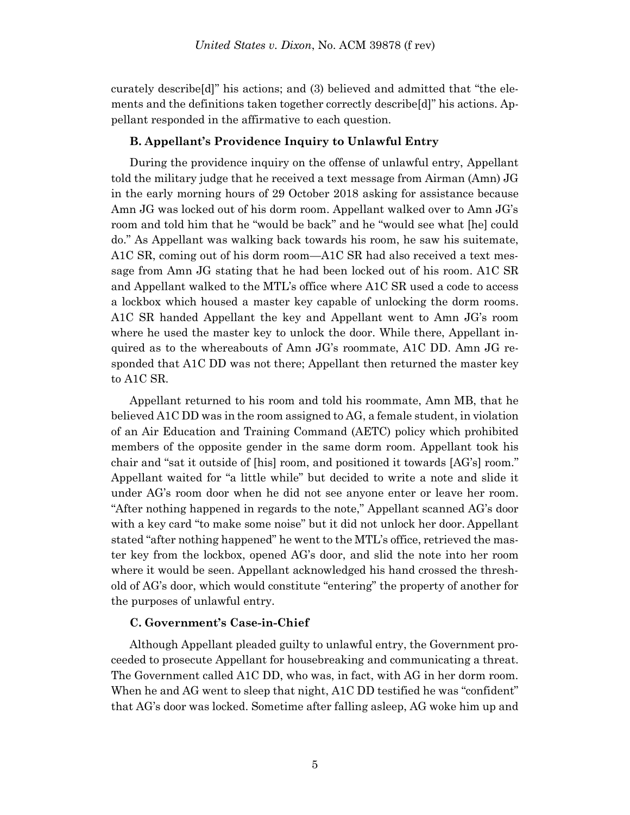curately describe[d]" his actions; and (3) believed and admitted that "the elements and the definitions taken together correctly describe[d]" his actions. Appellant responded in the affirmative to each question.

## **B. Appellant's Providence Inquiry to Unlawful Entry**

During the providence inquiry on the offense of unlawful entry, Appellant told the military judge that he received a text message from Airman (Amn) JG in the early morning hours of 29 October 2018 asking for assistance because Amn JG was locked out of his dorm room. Appellant walked over to Amn JG's room and told him that he "would be back" and he "would see what [he] could do." As Appellant was walking back towards his room, he saw his suitemate, A1C SR, coming out of his dorm room—A1C SR had also received a text message from Amn JG stating that he had been locked out of his room. A1C SR and Appellant walked to the MTL's office where A1C SR used a code to access a lockbox which housed a master key capable of unlocking the dorm rooms. A1C SR handed Appellant the key and Appellant went to Amn JG's room where he used the master key to unlock the door. While there, Appellant inquired as to the whereabouts of Amn JG's roommate, A1C DD. Amn JG responded that A1C DD was not there; Appellant then returned the master key to A1C SR.

Appellant returned to his room and told his roommate, Amn MB, that he believed A1C DD was in the room assigned to AG, a female student, in violation of an Air Education and Training Command (AETC) policy which prohibited members of the opposite gender in the same dorm room. Appellant took his chair and "sat it outside of [his] room, and positioned it towards [AG's] room." Appellant waited for "a little while" but decided to write a note and slide it under AG's room door when he did not see anyone enter or leave her room. "After nothing happened in regards to the note," Appellant scanned AG's door with a key card "to make some noise" but it did not unlock her door. Appellant stated "after nothing happened" he went to the MTL's office, retrieved the master key from the lockbox, opened AG's door, and slid the note into her room where it would be seen. Appellant acknowledged his hand crossed the threshold of AG's door, which would constitute "entering" the property of another for the purposes of unlawful entry.

### **C. Government's Case-in-Chief**

Although Appellant pleaded guilty to unlawful entry, the Government proceeded to prosecute Appellant for housebreaking and communicating a threat. The Government called A1C DD, who was, in fact, with AG in her dorm room. When he and AG went to sleep that night, A1C DD testified he was "confident" that AG's door was locked. Sometime after falling asleep, AG woke him up and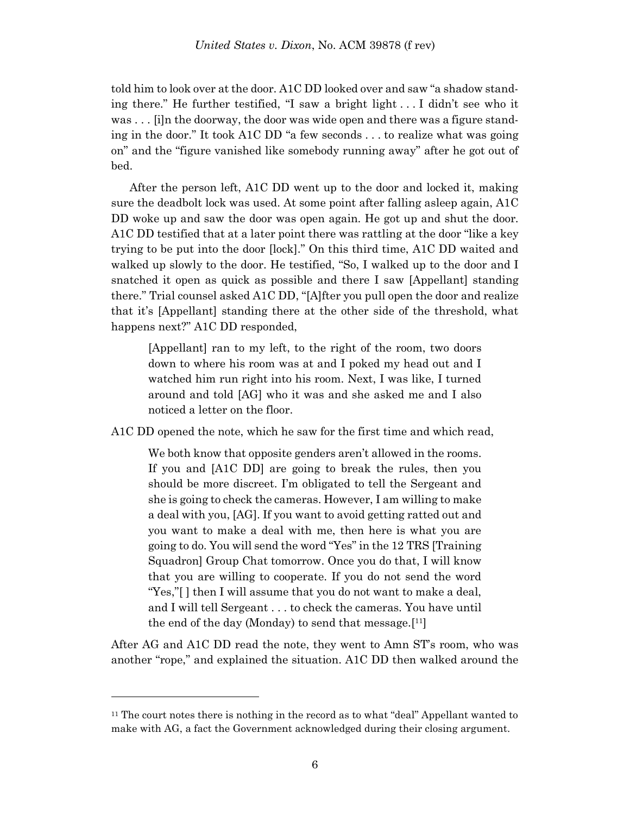told him to look over at the door. A1C DD looked over and saw "a shadow standing there." He further testified, "I saw a bright light . . . I didn't see who it was . . . [i]n the doorway, the door was wide open and there was a figure standing in the door." It took A1C DD "a few seconds . . . to realize what was going on" and the "figure vanished like somebody running away" after he got out of bed.

After the person left, A1C DD went up to the door and locked it, making sure the deadbolt lock was used. At some point after falling asleep again, A1C DD woke up and saw the door was open again. He got up and shut the door. A1C DD testified that at a later point there was rattling at the door "like a key trying to be put into the door [lock]." On this third time, A1C DD waited and walked up slowly to the door. He testified, "So, I walked up to the door and I snatched it open as quick as possible and there I saw [Appellant] standing there." Trial counsel asked A1C DD, "[A]fter you pull open the door and realize that it's [Appellant] standing there at the other side of the threshold, what happens next?" A1C DD responded,

[Appellant] ran to my left, to the right of the room, two doors down to where his room was at and I poked my head out and I watched him run right into his room. Next, I was like, I turned around and told [AG] who it was and she asked me and I also noticed a letter on the floor.

A1C DD opened the note, which he saw for the first time and which read,

We both know that opposite genders aren't allowed in the rooms. If you and [A1C DD] are going to break the rules, then you should be more discreet. I'm obligated to tell the Sergeant and she is going to check the cameras. However, I am willing to make a deal with you, [AG]. If you want to avoid getting ratted out and you want to make a deal with me, then here is what you are going to do. You will send the word "Yes" in the 12 TRS [Training Squadron] Group Chat tomorrow. Once you do that, I will know that you are willing to cooperate. If you do not send the word "Yes,"[ ] then I will assume that you do not want to make a deal, and I will tell Sergeant . . . to check the cameras. You have until the end of the day (Monday) to send that message.[ <sup>11</sup>]

After AG and A1C DD read the note, they went to Amn ST's room, who was another "rope," and explained the situation. A1C DD then walked around the

 $11$ <sup>11</sup> The court notes there is nothing in the record as to what "deal" Appellant wanted to make with AG, a fact the Government acknowledged during their closing argument.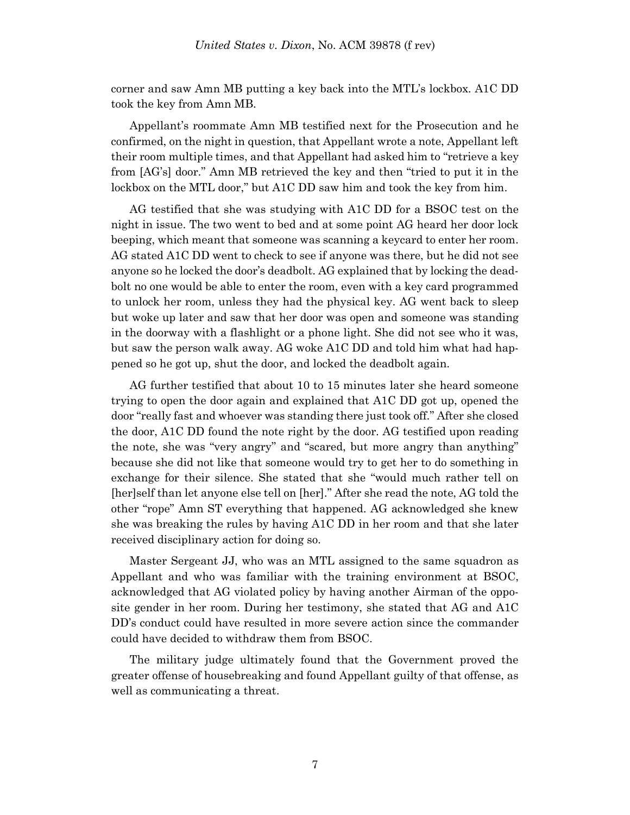corner and saw Amn MB putting a key back into the MTL's lockbox. A1C DD took the key from Amn MB.

Appellant's roommate Amn MB testified next for the Prosecution and he confirmed, on the night in question, that Appellant wrote a note, Appellant left their room multiple times, and that Appellant had asked him to "retrieve a key from [AG's] door." Amn MB retrieved the key and then "tried to put it in the lockbox on the MTL door," but A1C DD saw him and took the key from him.

AG testified that she was studying with A1C DD for a BSOC test on the night in issue. The two went to bed and at some point AG heard her door lock beeping, which meant that someone was scanning a keycard to enter her room. AG stated A1C DD went to check to see if anyone was there, but he did not see anyone so he locked the door's deadbolt. AG explained that by locking the deadbolt no one would be able to enter the room, even with a key card programmed to unlock her room, unless they had the physical key. AG went back to sleep but woke up later and saw that her door was open and someone was standing in the doorway with a flashlight or a phone light. She did not see who it was, but saw the person walk away. AG woke A1C DD and told him what had happened so he got up, shut the door, and locked the deadbolt again.

AG further testified that about 10 to 15 minutes later she heard someone trying to open the door again and explained that A1C DD got up, opened the door "really fast and whoever was standing there just took off." After she closed the door, A1C DD found the note right by the door. AG testified upon reading the note, she was "very angry" and "scared, but more angry than anything" because she did not like that someone would try to get her to do something in exchange for their silence. She stated that she "would much rather tell on [her]self than let anyone else tell on [her]." After she read the note, AG told the other "rope" Amn ST everything that happened. AG acknowledged she knew she was breaking the rules by having A1C DD in her room and that she later received disciplinary action for doing so.

Master Sergeant JJ, who was an MTL assigned to the same squadron as Appellant and who was familiar with the training environment at BSOC, acknowledged that AG violated policy by having another Airman of the opposite gender in her room. During her testimony, she stated that AG and A1C DD's conduct could have resulted in more severe action since the commander could have decided to withdraw them from BSOC.

The military judge ultimately found that the Government proved the greater offense of housebreaking and found Appellant guilty of that offense, as well as communicating a threat.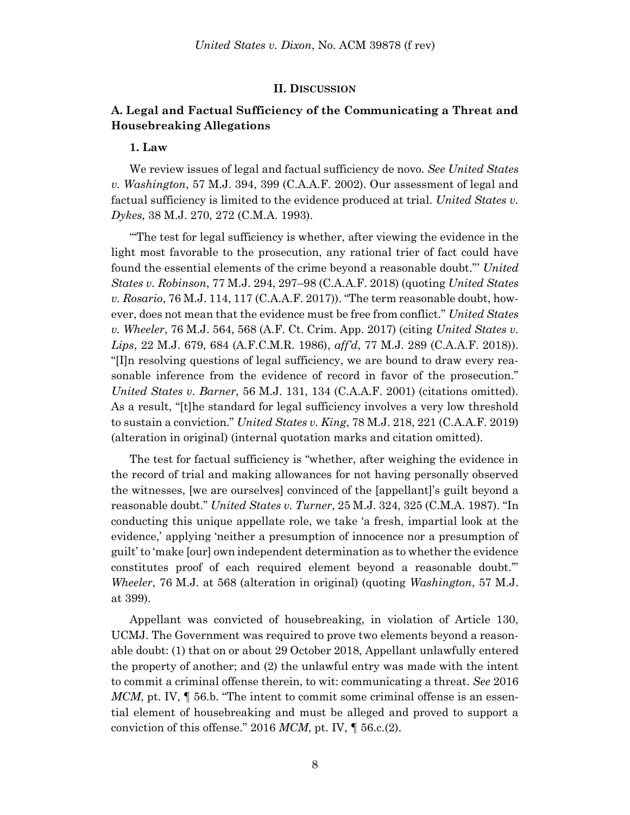#### **II. DISCUSSION**

# **A. Legal and Factual Sufficiency of the Communicating a Threat and Housebreaking Allegations**

## **1. Law**

We review issues of legal and factual sufficiency de novo. *See United States v. Washington*, 57 M.J. 394, 399 (C.A.A.F. 2002). Our assessment of legal and factual sufficiency is limited to the evidence produced at trial. *United States v. Dykes*, 38 M.J. 270, 272 (C.M.A. 1993).

'"The test for legal sufficiency is whether, after viewing the evidence in the light most favorable to the prosecution, any rational trier of fact could have found the essential elements of the crime beyond a reasonable doubt."' *United States v. Robinson*, 77 M.J. 294, 297–98 (C.A.A.F. 2018) (quoting *United States v. Rosario*, 76 M.J. 114, 117 (C.A.A.F. 2017)). "The term reasonable doubt, however, does not mean that the evidence must be free from conflict." *United States v. Wheeler*, 76 M.J. 564, 568 (A.F. Ct. Crim. App. 2017) (citing *United States v. Lips*, 22 M.J. 679, 684 (A.F.C.M.R. 1986), *aff'd*, 77 M.J. 289 (C.A.A.F. 2018)). "[I]n resolving questions of legal sufficiency, we are bound to draw every reasonable inference from the evidence of record in favor of the prosecution." *United States v. Barner*, 56 M.J. 131, 134 (C.A.A.F. 2001) (citations omitted). As a result, "[t]he standard for legal sufficiency involves a very low threshold to sustain a conviction." *United States v. King*, 78 M.J. 218, 221 (C.A.A.F. 2019) (alteration in original) (internal quotation marks and citation omitted).

The test for factual sufficiency is "whether, after weighing the evidence in the record of trial and making allowances for not having personally observed the witnesses, [we are ourselves] convinced of the [appellant]'s guilt beyond a reasonable doubt." *United States v. Turner*, 25 M.J. 324, 325 (C.M.A. 1987). "In conducting this unique appellate role, we take 'a fresh, impartial look at the evidence,' applying 'neither a presumption of innocence nor a presumption of guilt' to 'make [our] own independent determination as to whether the evidence constitutes proof of each required element beyond a reasonable doubt.'" *Wheeler*, 76 M.J. at 568 (alteration in original) (quoting *Washington*, 57 M.J. at 399).

Appellant was convicted of housebreaking, in violation of Article 130, UCMJ. The Government was required to prove two elements beyond a reasonable doubt: (1) that on or about 29 October 2018, Appellant unlawfully entered the property of another; and (2) the unlawful entry was made with the intent to commit a criminal offense therein, to wit: communicating a threat. *See* 2016 *MCM*, pt. IV,  $\parallel$  56.b. "The intent to commit some criminal offense is an essential element of housebreaking and must be alleged and proved to support a conviction of this offense." 2016 *MCM*, pt. IV, ¶ 56.c.(2).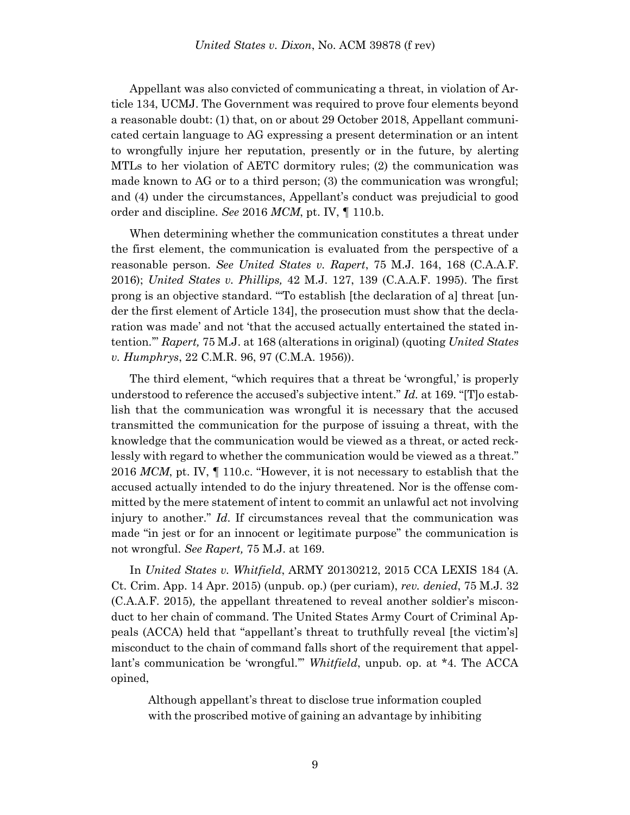Appellant was also convicted of communicating a threat, in violation of Article 134, UCMJ. The Government was required to prove four elements beyond a reasonable doubt: (1) that, on or about 29 October 2018, Appellant communicated certain language to AG expressing a present determination or an intent to wrongfully injure her reputation, presently or in the future, by alerting MTLs to her violation of AETC dormitory rules; (2) the communication was made known to AG or to a third person; (3) the communication was wrongful; and (4) under the circumstances, Appellant's conduct was prejudicial to good order and discipline. *See* 2016 *MCM*, pt. IV, ¶ 110.b.

When determining whether the communication constitutes a threat under the first element, the communication is evaluated from the perspective of a reasonable person. *See United States v. Rapert*, 75 M.J. 164, 168 (C.A.A.F. 2016); *United States v. Phillips,* 42 M.J. 127, 139 (C.A.A.F. 1995). The first prong is an objective standard. '"To establish [the declaration of a] threat [under the first element of Article 134], the prosecution must show that the declaration was made' and not 'that the accused actually entertained the stated intention.'" *Rapert,* 75 M.J. at 168 (alterations in original) (quoting *United States v. Humphrys*, 22 C.M.R. 96, 97 (C.M.A. 1956)).

The third element, "which requires that a threat be 'wrongful,' is properly understood to reference the accused's subjective intent." *Id.* at 169. "[T]o establish that the communication was wrongful it is necessary that the accused transmitted the communication for the purpose of issuing a threat, with the knowledge that the communication would be viewed as a threat, or acted recklessly with regard to whether the communication would be viewed as a threat." 2016 *MCM*, pt. IV, ¶ 110.c. "However, it is not necessary to establish that the accused actually intended to do the injury threatened. Nor is the offense committed by the mere statement of intent to commit an unlawful act not involving injury to another." *Id*. If circumstances reveal that the communication was made "in jest or for an innocent or legitimate purpose" the communication is not wrongful. *See Rapert,* 75 M.J. at 169.

In *United States v. Whitfield*, ARMY 20130212, 2015 CCA LEXIS 184 (A. Ct. Crim. App. 14 Apr. 2015) (unpub. op.) (per curiam), *rev. denied*, 75 M.J. 32 (C.A.A.F. 2015)*,* the appellant threatened to reveal another soldier's misconduct to her chain of command. The United States Army Court of Criminal Appeals (ACCA) held that "appellant's threat to truthfully reveal [the victim's] misconduct to the chain of command falls short of the requirement that appellant's communication be 'wrongful.'" *Whitfield*, unpub. op. at \*4. The ACCA opined,

Although appellant's threat to disclose true information coupled with the proscribed motive of gaining an advantage by inhibiting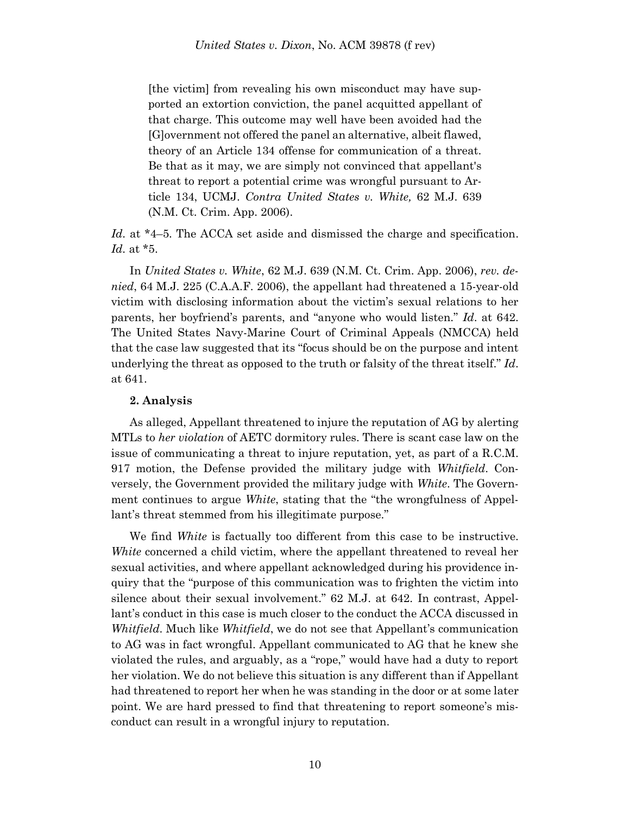[the victim] from revealing his own misconduct may have supported an extortion conviction, the panel acquitted appellant of that charge. This outcome may well have been avoided had the [G]overnment not offered the panel an alternative, albeit flawed, theory of an Article 134 offense for communication of a threat. Be that as it may, we are simply not convinced that appellant's threat to report a potential crime was wrongful pursuant to Article 134, UCMJ. *Contra United States v. White,* 62 M.J. 639 (N.M. Ct. Crim. App. 2006).

*Id.* at \*4–5. The ACCA set aside and dismissed the charge and specification. *Id.* at \*5.

In *United States v. White*, 62 M.J. 639 (N.M. Ct. Crim. App. 2006), *rev. denied*, 64 M.J. 225 (C.A.A.F. 2006), the appellant had threatened a 15-year-old victim with disclosing information about the victim's sexual relations to her parents, her boyfriend's parents, and "anyone who would listen." *Id*. at 642. The United States Navy-Marine Court of Criminal Appeals (NMCCA) held that the case law suggested that its "focus should be on the purpose and intent underlying the threat as opposed to the truth or falsity of the threat itself." *Id*. at 641.

## **2. Analysis**

As alleged, Appellant threatened to injure the reputation of AG by alerting MTLs to *her violation* of AETC dormitory rules. There is scant case law on the issue of communicating a threat to injure reputation, yet, as part of a R.C.M. 917 motion, the Defense provided the military judge with *Whitfield*. Conversely, the Government provided the military judge with *White*. The Government continues to argue *White*, stating that the "the wrongfulness of Appellant's threat stemmed from his illegitimate purpose."

We find *White* is factually too different from this case to be instructive. *White* concerned a child victim, where the appellant threatened to reveal her sexual activities, and where appellant acknowledged during his providence inquiry that the "purpose of this communication was to frighten the victim into silence about their sexual involvement." 62 M.J. at 642. In contrast, Appellant's conduct in this case is much closer to the conduct the ACCA discussed in *Whitfield*. Much like *Whitfield*, we do not see that Appellant's communication to AG was in fact wrongful. Appellant communicated to AG that he knew she violated the rules, and arguably, as a "rope," would have had a duty to report her violation. We do not believe this situation is any different than if Appellant had threatened to report her when he was standing in the door or at some later point. We are hard pressed to find that threatening to report someone's misconduct can result in a wrongful injury to reputation.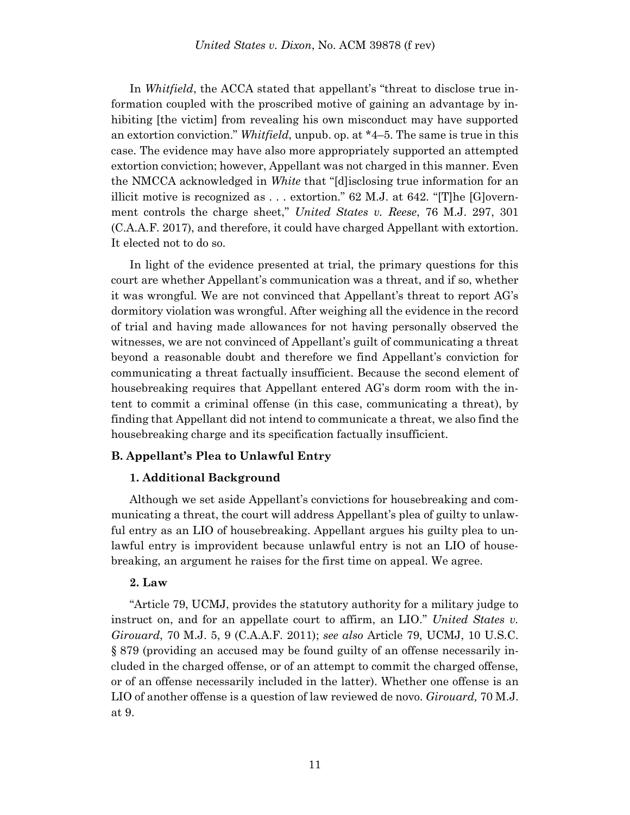In *Whitfield*, the ACCA stated that appellant's "threat to disclose true information coupled with the proscribed motive of gaining an advantage by inhibiting [the victim] from revealing his own misconduct may have supported an extortion conviction." *Whitfield*, unpub. op. at \*4–5. The same is true in this case. The evidence may have also more appropriately supported an attempted extortion conviction; however, Appellant was not charged in this manner. Even the NMCCA acknowledged in *White* that "[d]isclosing true information for an illicit motive is recognized as ... extortion." 62 M.J. at 642. "[T]he [G]overnment controls the charge sheet," *United States v. Reese*, 76 M.J. 297, 301 (C.A.A.F. 2017), and therefore, it could have charged Appellant with extortion. It elected not to do so.

In light of the evidence presented at trial, the primary questions for this court are whether Appellant's communication was a threat, and if so, whether it was wrongful. We are not convinced that Appellant's threat to report AG's dormitory violation was wrongful. After weighing all the evidence in the record of trial and having made allowances for not having personally observed the witnesses, we are not convinced of Appellant's guilt of communicating a threat beyond a reasonable doubt and therefore we find Appellant's conviction for communicating a threat factually insufficient. Because the second element of housebreaking requires that Appellant entered AG's dorm room with the intent to commit a criminal offense (in this case, communicating a threat), by finding that Appellant did not intend to communicate a threat, we also find the housebreaking charge and its specification factually insufficient.

## **B. Appellant's Plea to Unlawful Entry**

### **1. Additional Background**

Although we set aside Appellant's convictions for housebreaking and communicating a threat, the court will address Appellant's plea of guilty to unlawful entry as an LIO of housebreaking. Appellant argues his guilty plea to unlawful entry is improvident because unlawful entry is not an LIO of housebreaking, an argument he raises for the first time on appeal. We agree.

### **2. Law**

"Article 79, UCMJ, provides the statutory authority for a military judge to instruct on, and for an appellate court to affirm, an LIO." *[United States v.](https://plus.lexis.com/document/documentlink/?pdmfid=1530671&crid=daf40340-df70-434d-ad0d-50645dc3729b&pddocfullpath=%2Fshared%2Fdocument%2Fcases%2Furn%3AcontentItem%3A52N4-BT71-JCN9-N04S-00000-00&pdcontentcomponentid=7813&pdproductcontenttypeid=urn%3Apct%3A30&pdiskwicview=false&pdpinpoint=PAGE_9_2181&prid=aa6ba05c-3f91-43fc-8aea-b57843828dd9&ecomp=63tdk)  Girouard*[, 70 M.J. 5, 9 \(C.A.A.F. 2011\);](https://plus.lexis.com/document/documentlink/?pdmfid=1530671&crid=daf40340-df70-434d-ad0d-50645dc3729b&pddocfullpath=%2Fshared%2Fdocument%2Fcases%2Furn%3AcontentItem%3A52N4-BT71-JCN9-N04S-00000-00&pdcontentcomponentid=7813&pdproductcontenttypeid=urn%3Apct%3A30&pdiskwicview=false&pdpinpoint=PAGE_9_2181&prid=aa6ba05c-3f91-43fc-8aea-b57843828dd9&ecomp=63tdk) *see also* Article 79, UCMJ, 10 U.S.C. § 879 (providing an accused may be found guilty of an offense necessarily included in the charged offense, or of an attempt to commit the charged offense, or of an offense necessarily included in the latter). Whether one offense is an LIO of another offense is a question of law reviewed de novo. *Girouard,* 70 M.J. at 9.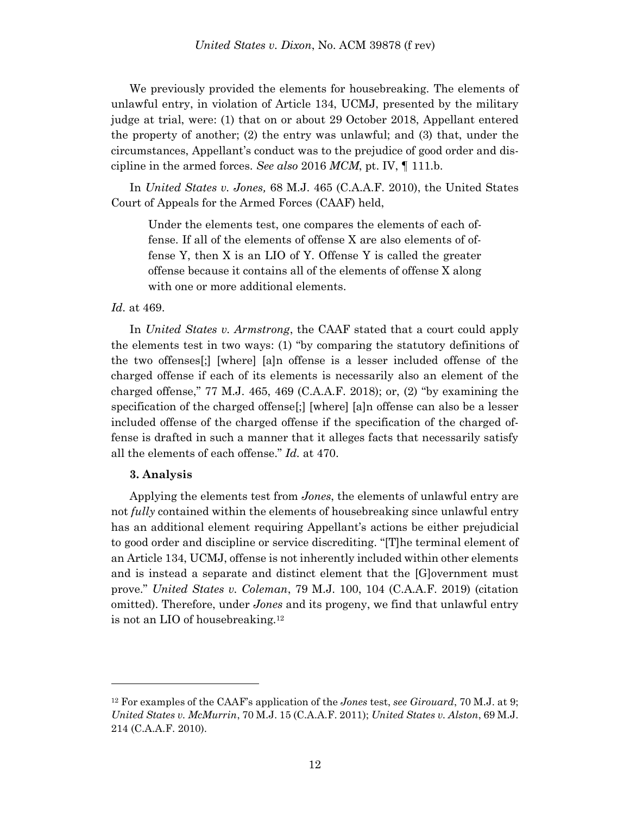We previously provided the elements for housebreaking. The elements of unlawful entry, in violation of Article 134, UCMJ, presented by the military judge at trial, were: (1) that on or about 29 October 2018, Appellant entered the property of another; (2) the entry was unlawful; and (3) that, under the circumstances, Appellant's conduct was to the prejudice of good order and discipline in the armed forces. *See also* 2016 *MCM*, pt. IV, ¶ 111.b.

In *United States v. Jones,* 68 M.J. 465 (C.A.A.F. 2010), the United States Court of Appeals for the Armed Forces (CAAF) held,

Under the elements test, one compares the elements of each offense. If all of the elements of offense X are also elements of offense Y, then X is an LIO of Y. Offense Y is called the greater offense because it contains all of the elements of offense X along with one or more additional elements.

## *Id.* at 469.

In *United States v. Armstrong*, the CAAF stated that a court could apply the elements test in two ways: (1) "by comparing the statutory definitions of the two offenses[;] [where] [a]n offense is a lesser included offense of the charged offense if each of its elements is necessarily also an element of the charged offense,"  $77$  M.J. 465, 469 (C.A.A.F. 2018); or, (2) "by examining the specification of the charged offense[;] [where] [a]n offense can also be a lesser included offense of the charged offense if the specification of the charged offense is drafted in such a manner that it alleges facts that necessarily satisfy all the elements of each offense." *Id.* at 470.

## **3. Analysis**

l

Applying the elements test from *Jones*, the elements of unlawful entry are not *fully* contained within the elements of housebreaking since unlawful entry has an additional element requiring Appellant's actions be either prejudicial to good order and discipline or service discrediting. "[T]he terminal element of an Article 134, UCMJ, offense is not inherently included within other elements and is instead a separate and distinct element that the [G]overnment must prove." *United States v. Coleman*, 79 M.J. 100, 104 (C.A.A.F. 2019) (citation omitted). Therefore, under *Jones* and its progeny, we find that unlawful entry is not an LIO of housebreaking.<sup>12</sup>

<sup>12</sup> For examples of the CAAF's application of the *Jones* test, *see Girouard*, 70 M.J. at 9; *United States v. McMurrin*, 70 M.J. 15 (C.A.A.F. 2011); *United States v. Alston*, 69 M.J. 214 (C.A.A.F. 2010).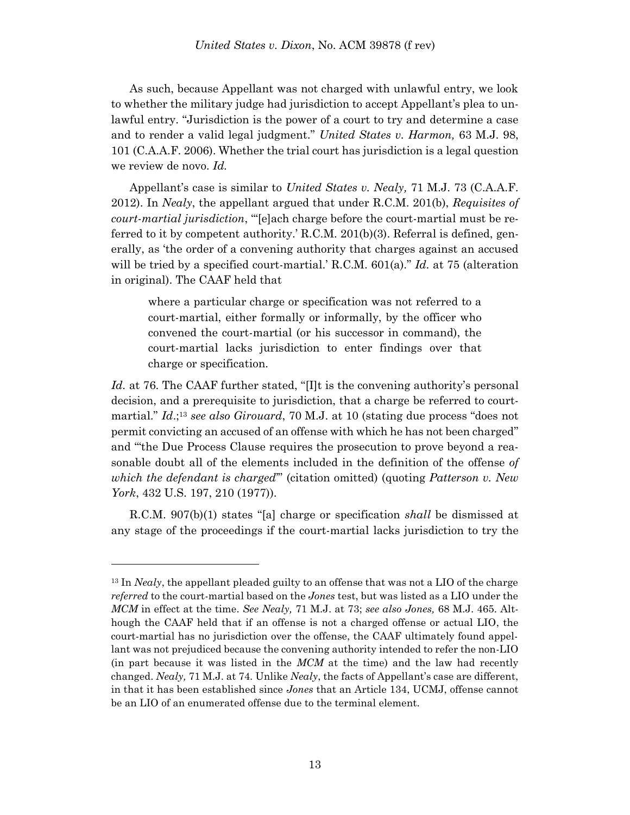As such, because Appellant was not charged with unlawful entry, we look to whether the military judge had jurisdiction to accept Appellant's plea to unlawful entry. "Jurisdiction is the power of a court to try and determine a case and to render a valid legal judgment." *United States v. Harmon,* 63 M.J. 98, 101 (C.A.A.F. 2006). Whether the trial court has jurisdiction is a legal question we review de novo. *Id.*

Appellant's case is similar to *United States v. Nealy,* 71 M.J. 73 (C.A.A.F. 2012). In *Nealy*, the appellant argued that under R.C.M. 201(b), *Requisites of court-martial jurisdiction*, '"[e]ach charge before the court-martial must be referred to it by competent authority.' R.C.M. 201(b)(3). Referral is defined, generally, as 'the order of a convening authority that charges against an accused will be tried by a specified court-martial.' R.C.M. 601(a)." *Id.* at 75 (alteration in original). The CAAF held that

where a particular charge or specification was not referred to a court-martial, either formally or informally, by the officer who convened the court-martial (or his successor in command), the court-martial lacks jurisdiction to enter findings over that charge or specification.

Id. at 76. The CAAF further stated, "[I]t is the convening authority's personal decision, and a prerequisite to jurisdiction, that a charge be referred to courtmartial." *Id.*;<sup>13</sup> see also *Girouard*, 70 M.J. at 10 (stating due process "does not permit convicting an accused of an offense with which he has not been charged" and '"the Due Process Clause requires the prosecution to prove beyond a reasonable doubt all of the elements included in the definition of the offense *of which the defendant is charged*'" (citation omitted) (quoting *Patterson v. New York*, 432 U.S. 197, 210 (1977)).

R.C.M. 907(b)(1) states "[a] charge or specification *shall* be dismissed at any stage of the proceedings if the court-martial lacks jurisdiction to try the

<sup>&</sup>lt;sup>13</sup> In *Nealy*, the appellant pleaded guilty to an offense that was not a LIO of the charge *referred* to the court-martial based on the *Jones* test, but was listed as a LIO under the *MCM* in effect at the time. *See Nealy,* 71 M.J. at 73; *see also Jones,* 68 M.J. 465. Although the CAAF held that if an offense is not a charged offense or actual LIO, the court-martial has no jurisdiction over the offense, the CAAF ultimately found appellant was not prejudiced because the convening authority intended to refer the non-LIO (in part because it was listed in the *MCM* at the time) and the law had recently changed. *Nealy,* 71 M.J. at 74. Unlike *Nealy*, the facts of Appellant's case are different, in that it has been established since *Jones* that an Article 134, UCMJ, offense cannot be an LIO of an enumerated offense due to the terminal element.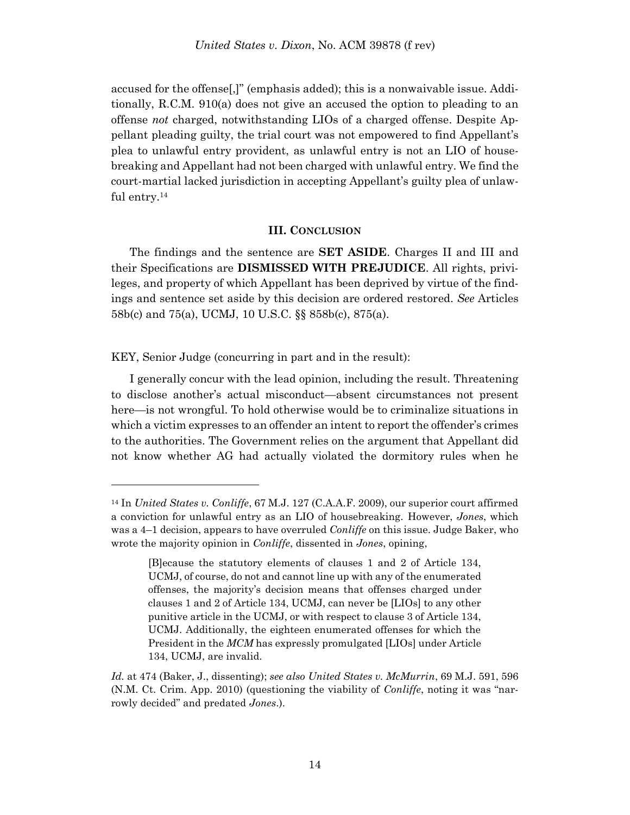accused for the offense[,]" (emphasis added); this is a nonwaivable issue. Additionally, R.C.M. 910(a) does not give an accused the option to pleading to an offense *not* charged, notwithstanding LIOs of a charged offense. Despite Appellant pleading guilty, the trial court was not empowered to find Appellant's plea to unlawful entry provident, as unlawful entry is not an LIO of housebreaking and Appellant had not been charged with unlawful entry. We find the court-martial lacked jurisdiction in accepting Appellant's guilty plea of unlawful entry. 14

### **III. CONCLUSION**

The findings and the sentence are **SET ASIDE**. Charges II and III and their Specifications are **DISMISSED WITH PREJUDICE**. All rights, privileges, and property of which Appellant has been deprived by virtue of the findings and sentence set aside by this decision are ordered restored. *See* Articles 58b(c) and 75(a), UCMJ, 10 U.S.C. §§ 858b(c), 875(a).

KEY, Senior Judge (concurring in part and in the result):

I generally concur with the lead opinion, including the result. Threatening to disclose another's actual misconduct—absent circumstances not present here—is not wrongful. To hold otherwise would be to criminalize situations in which a victim expresses to an offender an intent to report the offender's crimes to the authorities. The Government relies on the argument that Appellant did not know whether AG had actually violated the dormitory rules when he

<sup>14</sup> In *United States v. Conliffe*, 67 M.J. 127 (C.A.A.F. 2009), our superior court affirmed a conviction for unlawful entry as an LIO of housebreaking. However, *Jones*, which was a 4–1 decision, appears to have overruled *Conliffe* on this issue. Judge Baker, who wrote the majority opinion in *Conliffe*, dissented in *Jones*, opining,

<sup>[</sup>B]ecause the statutory elements of clauses 1 and 2 of Article 134, UCMJ, of course, do not and cannot line up with any of the enumerated offenses, the majority's decision means that offenses charged under clauses 1 and 2 of Article 134, UCMJ, can never be [LIOs] to any other punitive article in the UCMJ, or with respect to clause 3 of Article 134, UCMJ. Additionally, the eighteen enumerated offenses for which the President in the *MCM* has expressly promulgated [LIOs] under Article 134, UCMJ, are invalid.

*Id.* at 474 (Baker, J., dissenting); *see also United States v. McMurrin*, 69 M.J. 591, 596 (N.M. Ct. Crim. App. 2010) (questioning the viability of *Conliffe*, noting it was "narrowly decided" and predated *Jones*.).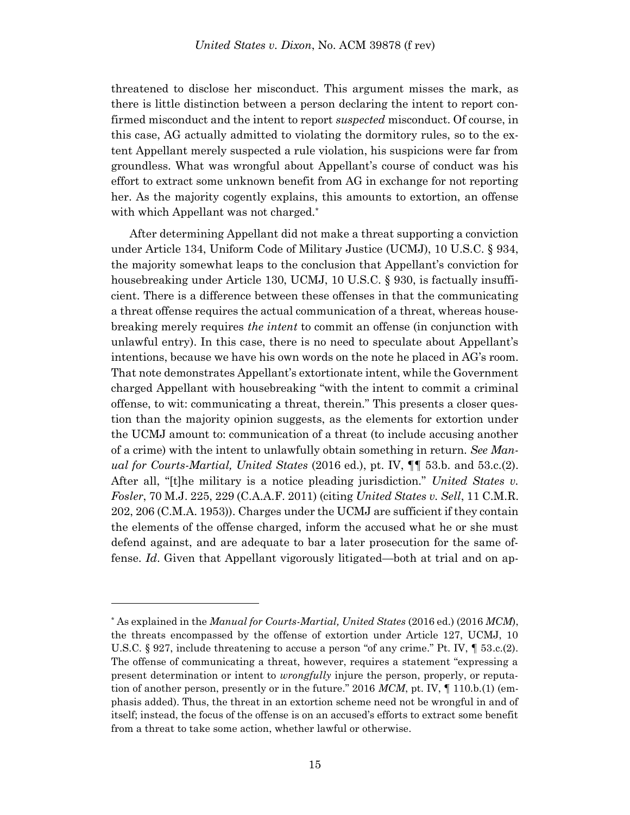threatened to disclose her misconduct. This argument misses the mark, as there is little distinction between a person declaring the intent to report confirmed misconduct and the intent to report *suspected* misconduct. Of course, in this case, AG actually admitted to violating the dormitory rules, so to the extent Appellant merely suspected a rule violation, his suspicions were far from groundless. What was wrongful about Appellant's course of conduct was his effort to extract some unknown benefit from AG in exchange for not reporting her. As the majority cogently explains, this amounts to extortion, an offense with which Appellant was not charged.<sup>\*</sup>

After determining Appellant did not make a threat supporting a conviction under Article 134, Uniform Code of Military Justice (UCMJ), 10 U.S.C. § 934, the majority somewhat leaps to the conclusion that Appellant's conviction for housebreaking under Article 130, UCMJ, 10 U.S.C. § 930, is factually insufficient. There is a difference between these offenses in that the communicating a threat offense requires the actual communication of a threat, whereas housebreaking merely requires *the intent* to commit an offense (in conjunction with unlawful entry). In this case, there is no need to speculate about Appellant's intentions, because we have his own words on the note he placed in AG's room. That note demonstrates Appellant's extortionate intent, while the Government charged Appellant with housebreaking "with the intent to commit a criminal offense, to wit: communicating a threat, therein." This presents a closer question than the majority opinion suggests, as the elements for extortion under the UCMJ amount to: communication of a threat (to include accusing another of a crime) with the intent to unlawfully obtain something in return. *See Manual for Courts-Martial, United States* (2016 ed.), pt. IV, ¶¶ 53.b. and 53.c.(2). After all, "[t]he military is a notice pleading jurisdiction." *United States v. Fosler*, 70 M.J. 225, 229 (C.A.A.F. 2011) (citing *United States v. Sell*, 11 C.M.R. 202, 206 (C.M.A. 1953)). Charges under the UCMJ are sufficient if they contain the elements of the offense charged, inform the accused what he or she must defend against, and are adequate to bar a later prosecution for the same offense. *Id*. Given that Appellant vigorously litigated—both at trial and on ap-

<sup>\*</sup> As explained in the *Manual for Courts-Martial, United States* (2016 ed.) (2016 *MCM*), the threats encompassed by the offense of extortion under Article 127, UCMJ, 10 U.S.C. § 927, include threatening to accuse a person "of any crime." Pt. IV, ¶ 53.c.(2). The offense of communicating a threat, however, requires a statement "expressing a present determination or intent to *wrongfully* injure the person, properly, or reputation of another person, presently or in the future." 2016 *MCM*, pt. IV, ¶ 110.b.(1) (emphasis added). Thus, the threat in an extortion scheme need not be wrongful in and of itself; instead, the focus of the offense is on an accused's efforts to extract some benefit from a threat to take some action, whether lawful or otherwise.